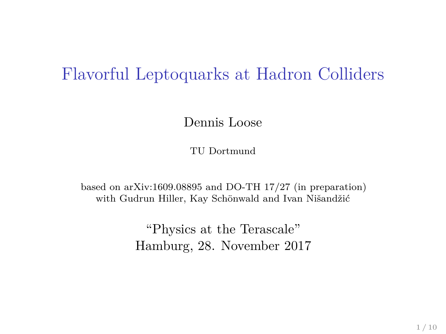#### Flavorful Leptoquarks at Hadron Colliders

Dennis Loose

TU Dortmund

based on arXiv:1609.08895 and DO-TH 17/27 (in preparation) with Gudrun Hiller, Kay Schönwald and Ivan Nišandžić

> "Physics at the Terascale" Hamburg, 28. November 2017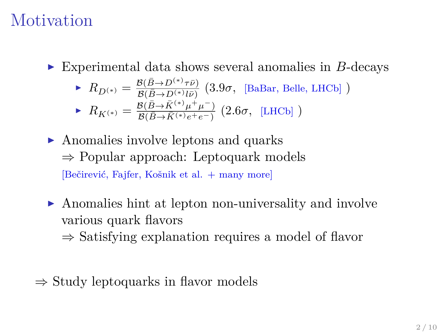## Motivation

► Experimental data shows several anomalies in *B*-decays

$$
\blacktriangleright R_{D^{(*)}} = \frac{\mathcal{B}(\bar{B} \to D^{(*)}\tau\bar{\nu})}{\mathcal{B}(\bar{B} \to D^{(*)}\tau\bar{\nu})} \text{ (3.9\sigma, [BaBar, Belle, LHCb])}
$$

▶ 
$$
R_{K^{(*)}} = \frac{\mathcal{B}(\bar{B} \to \bar{K}^{(*)}\mu^+\mu^-)}{\mathcal{B}(\bar{B} \to \bar{K}^{(*)}e^+e^-)}
$$
 (2.6 $\sigma$ , [LHCb] )

- $\triangleright$  Anomalies involve leptons and quarks ⇒ Popular approach: Leptoquark models [Bečirević, Fajfer, Košnik et al. + many more]
- $\triangleright$  Anomalies hint at lepton non-universality and involve various quark flavors
	- $\Rightarrow$  Satisfying explanation requires a model of flavor
- $\Rightarrow$  Study leptoquarks in flavor models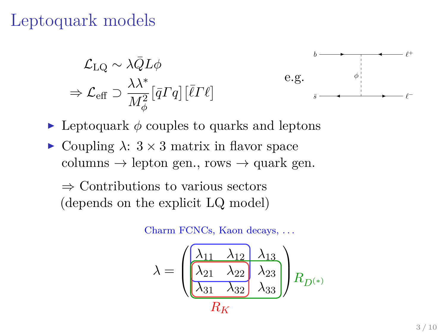## Leptoquark models

$$
\mathcal{L}_{\text{LQ}} \sim \lambda \bar{Q} L \phi
$$
  

$$
\Rightarrow \mathcal{L}_{\text{eff}} \supset \frac{\lambda \lambda^*}{M_\phi^2} [\bar{q} \Gamma q] [\bar{\ell} \Gamma \ell]
$$



- $\triangleright$  Leptoquark  $\phi$  couples to quarks and leptons
- $\triangleright$  Coupling  $\lambda$ :  $3 \times 3$  matrix in flavor space columns  $\rightarrow$  lepton gen., rows  $\rightarrow$  quark gen.

⇒ Contributions to various sectors (depends on the explicit LQ model)

Charm FCNCs, Kaon decays, . . .

$$
\lambda = \frac{\begin{pmatrix} \lambda_{11} & \lambda_{12} & \lambda_{13} \\ \lambda_{21} & \lambda_{22} & \lambda_{23} \\ \lambda_{31} & \lambda_{32} & \lambda_{33} \end{pmatrix}} R_{D^{(*)}}
$$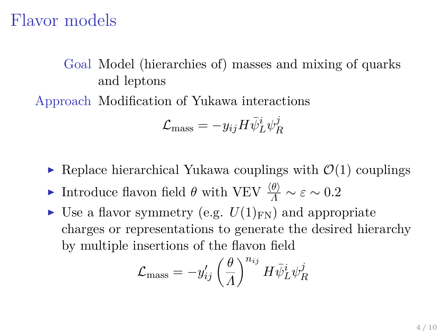#### Flavor models

Goal Model (hierarchies of) masses and mixing of quarks and leptons

Approach Modification of Yukawa interactions

$$
\mathcal{L}_{\rm mass}=-y_{ij}H\bar{\psi}^i_L\psi^j_R
$$

- $\triangleright$  Replace hierarchical Yukawa couplings with  $\mathcal{O}(1)$  couplings
- **►** Introduce flavon field *θ* with VEV  $\frac{\langle θ \rangle}{\Lambda} \sim ε \sim 0.2$
- If Use a flavor symmetry (e.g.  $U(1)_{\text{FN}}$ ) and appropriate charges or representations to generate the desired hierarchy by multiple insertions of the flavon field

$$
\mathcal{L}_{\rm mass} = -y_{ij}^\prime \left(\frac{\theta}{A}\right)^{n_{ij}} H \bar{\psi}_L^i \psi_R^j
$$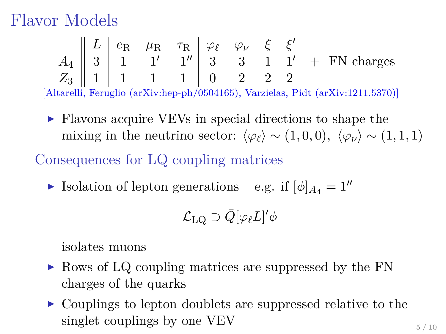## Flavor Models

|  |  | $\parallel L \parallel e_{\rm R}$ $\mu_{\rm R}$ $\tau_{\rm R} \parallel \varphi_{\ell}$ $\varphi_{\nu} \parallel \xi$ $\xi'$ |  |  |                                                                                                                               |
|--|--|------------------------------------------------------------------------------------------------------------------------------|--|--|-------------------------------------------------------------------------------------------------------------------------------|
|  |  |                                                                                                                              |  |  | $A_4 \parallel 3 \parallel 1 \parallel 1' \parallel 1'' \parallel 3 \parallel 3 \parallel 1 \parallel 1' + \text{FN charges}$ |
|  |  | $Z_3$    1   1   1   1   0   2   2   2                                                                                       |  |  |                                                                                                                               |
|  |  |                                                                                                                              |  |  | [Altarelli, Feruglio (arXiv:hep-ph/0504165), Varzielas, Pidt (arXiv:1211.5370)]                                               |

► Flavons acquire VEVs in special directions to shape the mixing in the neutrino sector:  $\langle \varphi_{\ell} \rangle \sim (1, 0, 0), \langle \varphi_{\nu} \rangle \sim (1, 1, 1)$ 

Consequences for LQ coupling matrices

**I** Isolation of lepton generations – e.g. if  $[\phi]_{A_4} = 1^{\prime\prime}$ 

$$
\mathcal{L}_\mathrm{LQ} \supset \bar{Q}[\varphi_\ell L]'\phi
$$

isolates muons

- ► Rows of LQ coupling matrices are suppressed by the FN charges of the quarks
- $\triangleright$  Couplings to lepton doublets are suppressed relative to the singlet couplings by one VEV  $_{5/10}$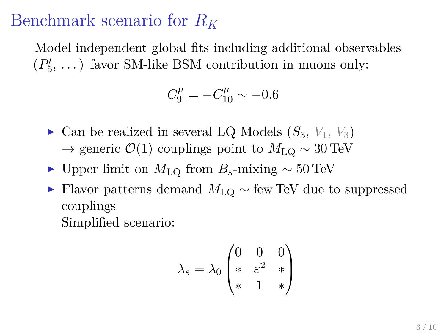## Benchmark scenario for *R<sup>K</sup>*

Model independent global fits including additional observables  $(P'_5, \ldots)$  favor SM-like BSM contribution in muons only:

$$
C_9^{\mu} = -C_{10}^{\mu} \sim -0.6
$$

- $\triangleright$  Can be realized in several LQ Models  $(S_3, V_1, V_3)$  $\rightarrow$  generic  $\mathcal{O}(1)$  couplings point to  $M_{\text{LO}} \sim 30 \text{ TeV}$
- $\triangleright$  Upper limit on  $M_{\text{LO}}$  from  $B_s$ -mixing  $\sim 50 \,\text{TeV}$
- <sup>I</sup> Flavor patterns demand *M*LQ ∼ few TeV due to suppressed couplings Simplified scenario:

$$
\lambda_s = \lambda_0 \begin{pmatrix} 0 & 0 & 0 \\ * & \varepsilon^2 & * \\ * & 1 & * \end{pmatrix}
$$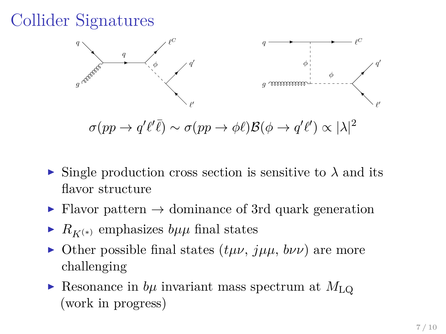# Collider Signatures



 $\sigma(pp \to q^\prime \ell^\prime \bar{\ell}) \sim \sigma(pp \to \phi \ell) \mathcal{B}(\phi \to q^\prime \ell^\prime) \propto |\lambda|^2$ 

- $\triangleright$  Single production cross section is sensitive to  $\lambda$  and its flavor structure
- $\triangleright$  Flavor pattern  $\rightarrow$  dominance of 3rd quark generation
- $\triangleright$  *R<sub>K(\*)</sub>* emphasizes *bµµ* final states
- $\triangleright$  Other possible final states  $(t\mu\nu, \mu\mu, b\nu\nu)$  are more challenging
- $\triangleright$  Resonance in *b<sub>µ</sub>* invariant mass spectrum at  $M_{\text{LO}}$ (work in progress)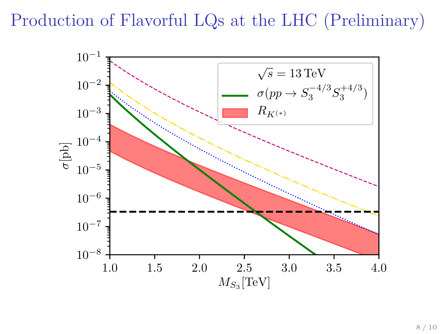Production of Flavorful LQs at the LHC (Preliminary)

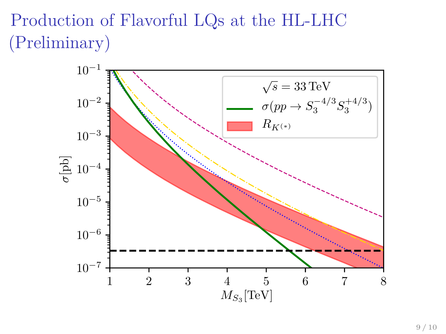# Production of Flavorful LQs at the HL-LHC (Preliminary)